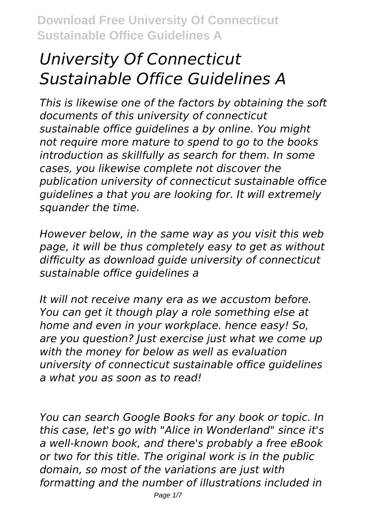# *University Of Connecticut Sustainable Office Guidelines A*

*This is likewise one of the factors by obtaining the soft documents of this university of connecticut sustainable office guidelines a by online. You might not require more mature to spend to go to the books introduction as skillfully as search for them. In some cases, you likewise complete not discover the publication university of connecticut sustainable office guidelines a that you are looking for. It will extremely squander the time.*

*However below, in the same way as you visit this web page, it will be thus completely easy to get as without difficulty as download guide university of connecticut sustainable office guidelines a*

*It will not receive many era as we accustom before. You can get it though play a role something else at home and even in your workplace. hence easy! So, are you question? Just exercise just what we come up with the money for below as well as evaluation university of connecticut sustainable office guidelines a what you as soon as to read!*

*You can search Google Books for any book or topic. In this case, let's go with "Alice in Wonderland" since it's a well-known book, and there's probably a free eBook or two for this title. The original work is in the public domain, so most of the variations are just with formatting and the number of illustrations included in*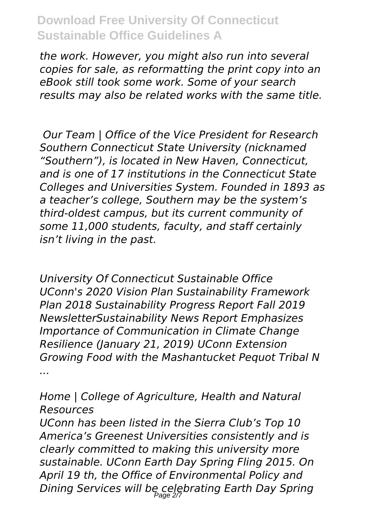*the work. However, you might also run into several copies for sale, as reformatting the print copy into an eBook still took some work. Some of your search results may also be related works with the same title.* 

*Our Team | Office of the Vice President for Research Southern Connecticut State University (nicknamed "Southern"), is located in New Haven, Connecticut, and is one of 17 institutions in the Connecticut State Colleges and Universities System. Founded in 1893 as a teacher's college, Southern may be the system's third-oldest campus, but its current community of some 11,000 students, faculty, and staff certainly isn't living in the past.*

*University Of Connecticut Sustainable Office UConn's 2020 Vision Plan Sustainability Framework Plan 2018 Sustainability Progress Report Fall 2019 NewsletterSustainability News Report Emphasizes Importance of Communication in Climate Change Resilience (January 21, 2019) UConn Extension Growing Food with the Mashantucket Pequot Tribal N ...*

*Home | College of Agriculture, Health and Natural Resources*

*UConn has been listed in the Sierra Club's Top 10 America's Greenest Universities consistently and is clearly committed to making this university more sustainable. UConn Earth Day Spring Fling 2015. On April 19 th, the Office of Environmental Policy and Dining Services will be celebrating Earth Day Spring* Page 2/7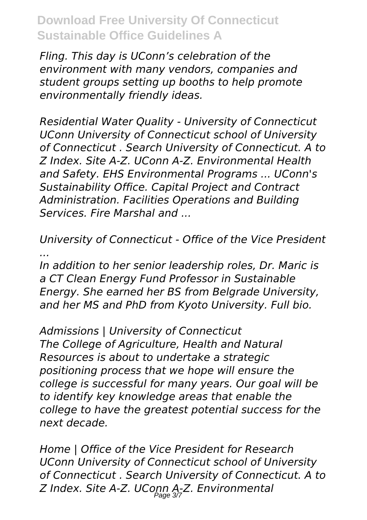*Fling. This day is UConn's celebration of the environment with many vendors, companies and student groups setting up booths to help promote environmentally friendly ideas.*

*Residential Water Quality - University of Connecticut UConn University of Connecticut school of University of Connecticut . Search University of Connecticut. A to Z Index. Site A-Z. UConn A-Z. Environmental Health and Safety. EHS Environmental Programs ... UConn's Sustainability Office. Capital Project and Contract Administration. Facilities Operations and Building Services. Fire Marshal and ...*

*University of Connecticut - Office of the Vice President ...*

*In addition to her senior leadership roles, Dr. Maric is a CT Clean Energy Fund Professor in Sustainable Energy. She earned her BS from Belgrade University, and her MS and PhD from Kyoto University. Full bio.*

*Admissions | University of Connecticut The College of Agriculture, Health and Natural Resources is about to undertake a strategic positioning process that we hope will ensure the college is successful for many years. Our goal will be to identify key knowledge areas that enable the college to have the greatest potential success for the next decade.*

*Home | Office of the Vice President for Research UConn University of Connecticut school of University of Connecticut . Search University of Connecticut. A to Z Index. Site A-Z. UConn A-Z. Environmental* Page 3/7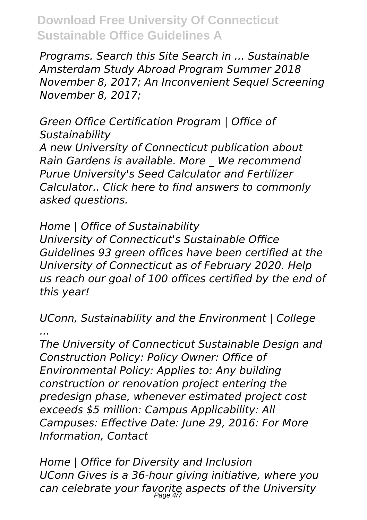*Programs. Search this Site Search in ... Sustainable Amsterdam Study Abroad Program Summer 2018 November 8, 2017; An Inconvenient Sequel Screening November 8, 2017;*

*Green Office Certification Program | Office of Sustainability A new University of Connecticut publication about Rain Gardens is available. More \_ We recommend Purue University's Seed Calculator and Fertilizer Calculator.. Click here to find answers to commonly asked questions.*

*Home | Office of Sustainability*

*University of Connecticut's Sustainable Office Guidelines 93 green offices have been certified at the University of Connecticut as of February 2020. Help us reach our goal of 100 offices certified by the end of this year!*

*UConn, Sustainability and the Environment | College ...*

*The University of Connecticut Sustainable Design and Construction Policy: Policy Owner: Office of Environmental Policy: Applies to: Any building construction or renovation project entering the predesign phase, whenever estimated project cost exceeds \$5 million: Campus Applicability: All Campuses: Effective Date: June 29, 2016: For More Information, Contact*

*Home | Office for Diversity and Inclusion UConn Gives is a 36-hour giving initiative, where you can celebrate your favorite aspects of the University* Page 4/7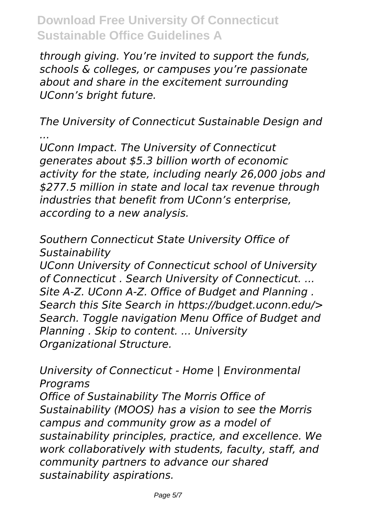*through giving. You're invited to support the funds, schools & colleges, or campuses you're passionate about and share in the excitement surrounding UConn's bright future.*

*The University of Connecticut Sustainable Design and ...*

*UConn Impact. The University of Connecticut generates about \$5.3 billion worth of economic activity for the state, including nearly 26,000 jobs and \$277.5 million in state and local tax revenue through industries that benefit from UConn's enterprise, according to a new analysis.*

*Southern Connecticut State University Office of Sustainability*

*UConn University of Connecticut school of University of Connecticut . Search University of Connecticut. ... Site A-Z. UConn A-Z. Office of Budget and Planning . Search this Site Search in https://budget.uconn.edu/> Search. Toggle navigation Menu Office of Budget and Planning . Skip to content. ... University Organizational Structure.*

*University of Connecticut - Home | Environmental Programs Office of Sustainability The Morris Office of Sustainability (MOOS) has a vision to see the Morris campus and community grow as a model of sustainability principles, practice, and excellence. We work collaboratively with students, faculty, staff, and community partners to advance our shared sustainability aspirations.*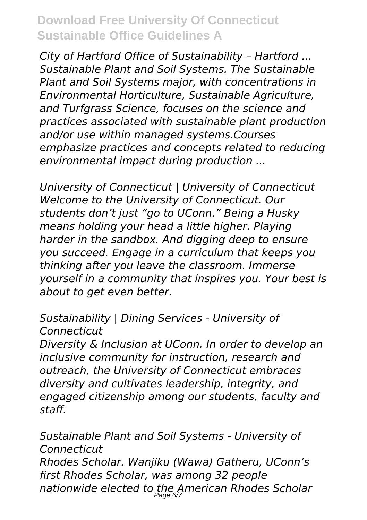*City of Hartford Office of Sustainability – Hartford ... Sustainable Plant and Soil Systems. The Sustainable Plant and Soil Systems major, with concentrations in Environmental Horticulture, Sustainable Agriculture, and Turfgrass Science, focuses on the science and practices associated with sustainable plant production and/or use within managed systems.Courses emphasize practices and concepts related to reducing environmental impact during production ...*

*University of Connecticut | University of Connecticut Welcome to the University of Connecticut. Our students don't just "go to UConn." Being a Husky means holding your head a little higher. Playing harder in the sandbox. And digging deep to ensure you succeed. Engage in a curriculum that keeps you thinking after you leave the classroom. Immerse yourself in a community that inspires you. Your best is about to get even better.*

#### *Sustainability | Dining Services - University of Connecticut*

*Diversity & Inclusion at UConn. In order to develop an inclusive community for instruction, research and outreach, the University of Connecticut embraces diversity and cultivates leadership, integrity, and engaged citizenship among our students, faculty and staff.*

*Sustainable Plant and Soil Systems - University of Connecticut Rhodes Scholar. Wanjiku (Wawa) Gatheru, UConn's first Rhodes Scholar, was among 32 people nationwide elected to the American Rhodes Scholar* Page 6/7